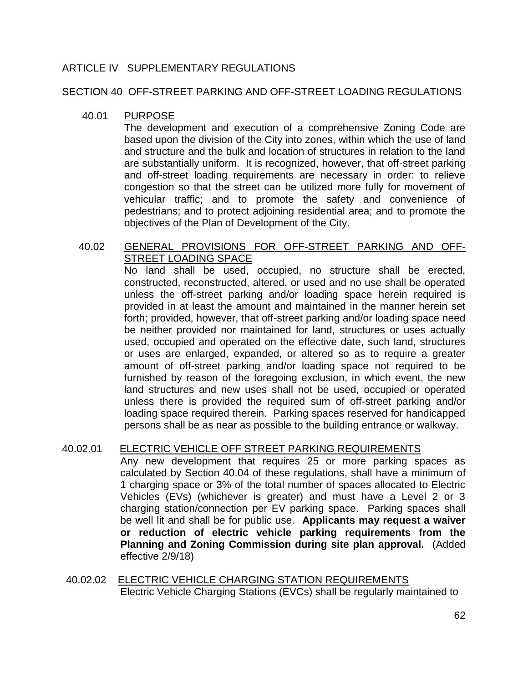## ARTICLE IV SUPPLEMENTARY REGULATIONS

SECTION 40 OFF-STREET PARKING AND OFF-STREET LOADING REGULATIONS

## 40.01 PURPOSE

The development and execution of a comprehensive Zoning Code are based upon the division of the City into zones, within which the use of land and structure and the bulk and location of structures in relation to the land are substantially uniform. It is recognized, however, that off-street parking and off-street loading requirements are necessary in order: to relieve congestion so that the street can be utilized more fully for movement of vehicular traffic; and to promote the safety and convenience of pedestrians; and to protect adjoining residential area; and to promote the objectives of the Plan of Development of the City.

## 40.02 GENERAL PROVISIONS FOR OFF-STREET PARKING AND OFF-STREET LOADING SPACE

No land shall be used, occupied, no structure shall be erected, constructed, reconstructed, altered, or used and no use shall be operated unless the off-street parking and/or loading space herein required is provided in at least the amount and maintained in the manner herein set forth; provided, however, that off-street parking and/or loading space need be neither provided nor maintained for land, structures or uses actually used, occupied and operated on the effective date, such land, structures or uses are enlarged, expanded, or altered so as to require a greater amount of off-street parking and/or loading space not required to be furnished by reason of the foregoing exclusion, in which event, the new land structures and new uses shall not be used, occupied or operated unless there is provided the required sum of off-street parking and/or loading space required therein. Parking spaces reserved for handicapped persons shall be as near as possible to the building entrance or walkway.

## 40.02.01 ELECTRIC VEHICLE OFF STREET PARKING REQUIREMENTS

Any new development that requires 25 or more parking spaces as calculated by Section 40.04 of these regulations, shall have a minimum of 1 charging space or 3% of the total number of spaces allocated to Electric Vehicles (EVs) (whichever is greater) and must have a Level 2 or 3 charging station/connection per EV parking space. Parking spaces shall be well lit and shall be for public use. **Applicants may request a waiver or reduction of electric vehicle parking requirements from the Planning and Zoning Commission during site plan approval.** (Added effective 2/9/18)

## 40.02.02 ELECTRIC VEHICLE CHARGING STATION REQUIREMENTS Electric Vehicle Charging Stations (EVCs) shall be regularly maintained to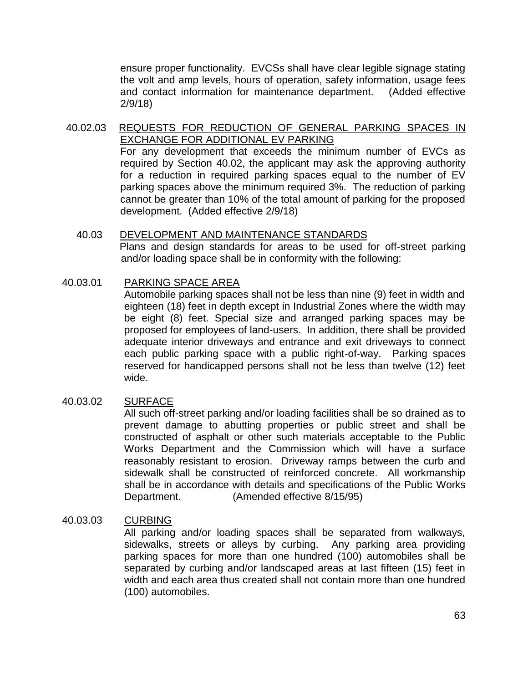ensure proper functionality. EVCSs shall have clear legible signage stating the volt and amp levels, hours of operation, safety information, usage fees and contact information for maintenance department. (Added effective 2/9/18)

## 40.02.03 REQUESTS FOR REDUCTION OF GENERAL PARKING SPACES IN EXCHANGE FOR ADDITIONAL EV PARKING

For any development that exceeds the minimum number of EVCs as required by Section 40.02, the applicant may ask the approving authority for a reduction in required parking spaces equal to the number of EV parking spaces above the minimum required 3%. The reduction of parking cannot be greater than 10% of the total amount of parking for the proposed development. (Added effective 2/9/18)

 40.03 DEVELOPMENT AND MAINTENANCE STANDARDS Plans and design standards for areas to be used for off-street parking and/or loading space shall be in conformity with the following:

## 40.03.01 PARKING SPACE AREA

 Automobile parking spaces shall not be less than nine (9) feet in width and eighteen (18) feet in depth except in Industrial Zones where the width may be eight (8) feet. Special size and arranged parking spaces may be proposed for employees of land-users. In addition, there shall be provided adequate interior driveways and entrance and exit driveways to connect each public parking space with a public right-of-way. Parking spaces reserved for handicapped persons shall not be less than twelve (12) feet wide.

## 40.03.02 SURFACE

All such off-street parking and/or loading facilities shall be so drained as to prevent damage to abutting properties or public street and shall be constructed of asphalt or other such materials acceptable to the Public Works Department and the Commission which will have a surface reasonably resistant to erosion. Driveway ramps between the curb and sidewalk shall be constructed of reinforced concrete. All workmanship shall be in accordance with details and specifications of the Public Works Department. (Amended effective 8/15/95)

## 40.03.03 CURBING

All parking and/or loading spaces shall be separated from walkways, sidewalks, streets or alleys by curbing. Any parking area providing parking spaces for more than one hundred (100) automobiles shall be separated by curbing and/or landscaped areas at last fifteen (15) feet in width and each area thus created shall not contain more than one hundred (100) automobiles.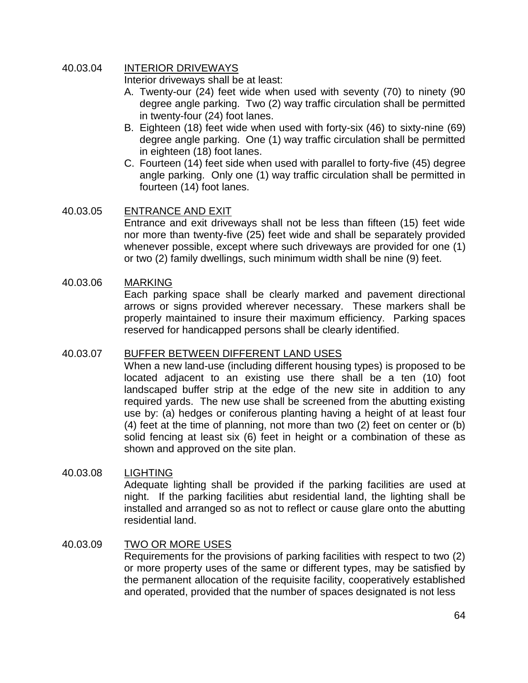## 40.03.04 INTERIOR DRIVEWAYS

Interior driveways shall be at least:

- A. Twenty-our (24) feet wide when used with seventy (70) to ninety (90 degree angle parking. Two (2) way traffic circulation shall be permitted in twenty-four (24) foot lanes.
- B. Eighteen (18) feet wide when used with forty-six (46) to sixty-nine (69) degree angle parking. One (1) way traffic circulation shall be permitted in eighteen (18) foot lanes.
- C. Fourteen (14) feet side when used with parallel to forty-five (45) degree angle parking. Only one (1) way traffic circulation shall be permitted in fourteen (14) foot lanes.

## 40.03.05 ENTRANCE AND EXIT

Entrance and exit driveways shall not be less than fifteen (15) feet wide nor more than twenty-five (25) feet wide and shall be separately provided whenever possible, except where such driveways are provided for one (1) or two (2) family dwellings, such minimum width shall be nine (9) feet.

## 40.03.06 MARKING

Each parking space shall be clearly marked and pavement directional arrows or signs provided wherever necessary. These markers shall be properly maintained to insure their maximum efficiency. Parking spaces reserved for handicapped persons shall be clearly identified.

## 40.03.07 BUFFER BETWEEN DIFFERENT LAND USES

When a new land-use (including different housing types) is proposed to be located adjacent to an existing use there shall be a ten (10) foot landscaped buffer strip at the edge of the new site in addition to any required yards. The new use shall be screened from the abutting existing use by: (a) hedges or coniferous planting having a height of at least four (4) feet at the time of planning, not more than two (2) feet on center or (b) solid fencing at least six (6) feet in height or a combination of these as shown and approved on the site plan.

## 40.03.08 LIGHTING

Adequate lighting shall be provided if the parking facilities are used at night. If the parking facilities abut residential land, the lighting shall be installed and arranged so as not to reflect or cause glare onto the abutting residential land.

## 40.03.09 TWO OR MORE USES

Requirements for the provisions of parking facilities with respect to two (2) or more property uses of the same or different types, may be satisfied by the permanent allocation of the requisite facility, cooperatively established and operated, provided that the number of spaces designated is not less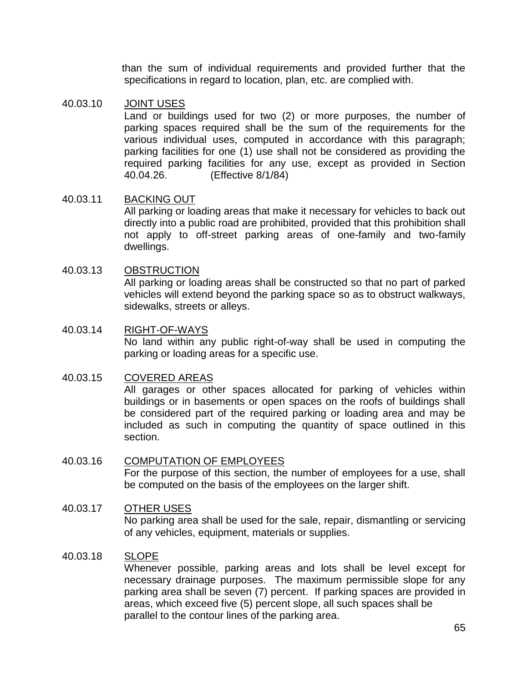than the sum of individual requirements and provided further that the specifications in regard to location, plan, etc. are complied with.

## 40.03.10 JOINT USES

Land or buildings used for two (2) or more purposes, the number of parking spaces required shall be the sum of the requirements for the various individual uses, computed in accordance with this paragraph; parking facilities for one (1) use shall not be considered as providing the required parking facilities for any use, except as provided in Section 40.04.26. (Effective 8/1/84)

## 40.03.11 BACKING OUT

All parking or loading areas that make it necessary for vehicles to back out directly into a public road are prohibited, provided that this prohibition shall not apply to off-street parking areas of one-family and two-family dwellings.

## 40.03.13 OBSTRUCTION

All parking or loading areas shall be constructed so that no part of parked vehicles will extend beyond the parking space so as to obstruct walkways, sidewalks, streets or alleys.

## 40.03.14 RIGHT-OF-WAYS No land within any public right-of-way shall be used in computing the parking or loading areas for a specific use.

## 40.03.15 COVERED AREAS

All garages or other spaces allocated for parking of vehicles within buildings or in basements or open spaces on the roofs of buildings shall be considered part of the required parking or loading area and may be included as such in computing the quantity of space outlined in this section.

## 40.03.16 COMPUTATION OF EMPLOYEES

For the purpose of this section, the number of employees for a use, shall be computed on the basis of the employees on the larger shift.

## 40.03.17 OTHER USES

No parking area shall be used for the sale, repair, dismantling or servicing of any vehicles, equipment, materials or supplies.

## 40.03.18 SLOPE

Whenever possible, parking areas and lots shall be level except for necessary drainage purposes. The maximum permissible slope for any parking area shall be seven (7) percent. If parking spaces are provided in areas, which exceed five (5) percent slope, all such spaces shall be parallel to the contour lines of the parking area.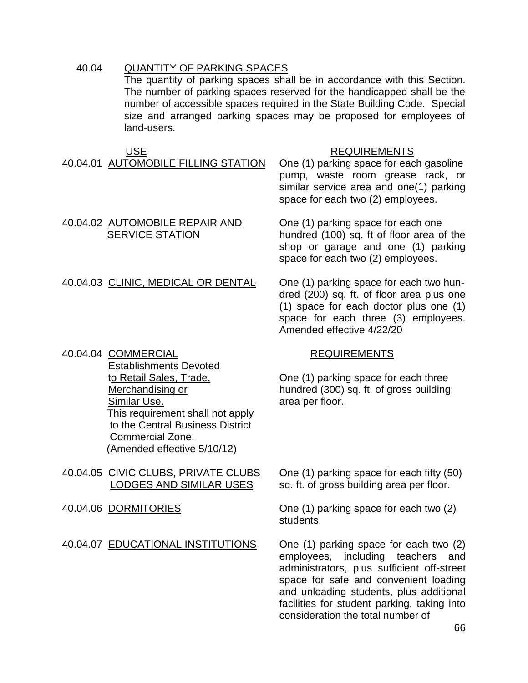## 40.04 QUANTITY OF PARKING SPACES

The quantity of parking spaces shall be in accordance with this Section. The number of parking spaces reserved for the handicapped shall be the number of accessible spaces required in the State Building Code. Special size and arranged parking spaces may be proposed for employees of land-users.

40.04.01 AUTOMOBILE FILLING STATION One (1) parking space for each gasoline

## USE **REQUIREMENTS**

pump, waste room grease rack, or similar service area and one(1) parking space for each two (2) employees.

## 40.04.02 AUTOMOBILE REPAIR AND One (1) parking space for each one SERVICE STATION hundred (100) sq. ft of floor area of the

## 40.04.03 CLINIC, MEDICAL OR DENTAL One (1) parking space for each two hun-

40.04.04 COMMERCIAL REQUIREMENTS

 Establishments Devoted Similar Use. **A contract of the Similar Use.** A contract of the area per floor. This requirement shall not apply to the Central Business District Commercial Zone. (Amended effective 5/10/12)

- 40.04.05 CIVIC CLUBS, PRIVATE CLUBS One (1) parking space for each fifty (50)
- 

dred (200) sq. ft. of floor area plus one (1) space for each doctor plus one (1) space for each three (3) employees. Amended effective 4/22/20

shop or garage and one (1) parking

space for each two (2) employees.

 to Retail Sales, Trade, One (1) parking space for each three Merchandising or hundred (300) sq. ft. of gross building

LODGES AND SIMILAR USES sq. ft. of gross building area per floor.

40.04.06 DORMITORIES One (1) parking space for each two (2) students.

40.04.07 EDUCATIONAL INSTITUTIONS One (1) parking space for each two (2) employees, including teachers and administrators, plus sufficient off-street space for safe and convenient loading and unloading students, plus additional facilities for student parking, taking into consideration the total number of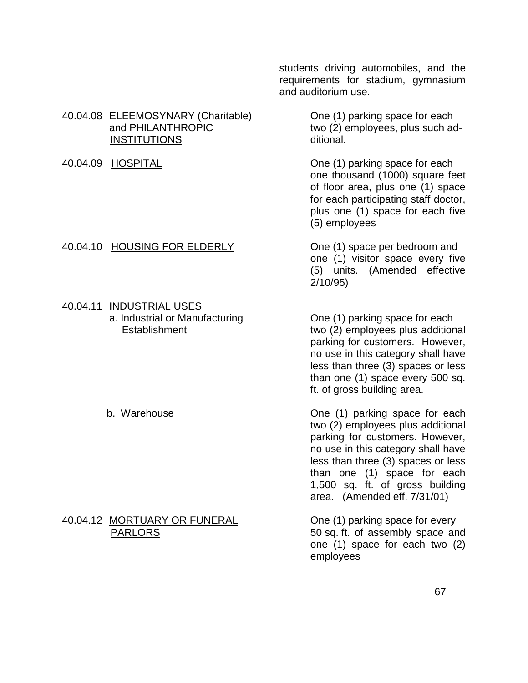students driving automobiles, and the requirements for stadium, gymnasium and auditorium use.

two (2) employees, plus such ad-

40.04.09 HOSPITAL **One (1)** parking space for each one thousand (1000) square feet of floor area, plus one (1) space for each participating staff doctor, plus one (1) space for each five (5) employees

> one (1) visitor space every five (5) units. (Amended effective 2/10/95)

 a. Industrial or Manufacturing One (1) parking space for each Establishment two (2) employees plus additional parking for customers. However, no use in this category shall have less than three (3) spaces or less than one (1) space every 500 sq. ft. of gross building area.

b. Warehouse One (1) parking space for each two (2) employees plus additional parking for customers. However, no use in this category shall have less than three (3) spaces or less than one (1) space for each 1,500 sq. ft. of gross building area. (Amended eff. 7/31/01)

PARLORS **PARLORS** 50 sq. ft. of assembly space and one (1) space for each two (2) employees

## 40.04.08 ELEEMOSYNARY (Charitable) One (1) parking space for each<br>and PHILANTHROPIC two (2) employees, plus such ac INSTITUTIONS ditional.

## 40.04.10 HOUSING FOR ELDERLY One (1) space per bedroom and

# 40.04.11 INDUSTRIAL USES

## 40.04.12 MORTUARY OR FUNERAL One (1) parking space for every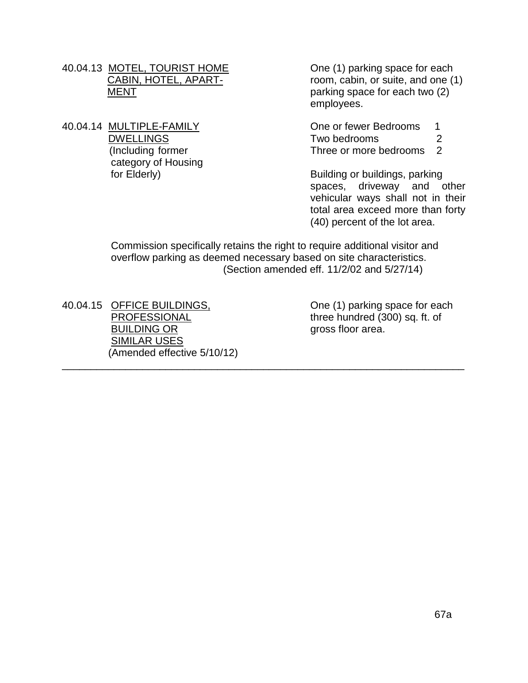- 40.04.13 MOTEL, TOURIST HOME One (1) parking space for each
- 40.04.14 MULTIPLE-FAMILY Che or fewer Bedrooms 1 category of Housing

CABIN, HOTEL, APART- room, cabin, or suite, and one (1) MENT parking space for each two (2) employees.

DWELLINGS Two bedrooms 2 (Including former Three or more bedrooms 2

for Elderly) **Building or buildings**, parking spaces, driveway and other vehicular ways shall not in their total area exceed more than forty (40) percent of the lot area.

 Commission specifically retains the right to require additional visitor and overflow parking as deemed necessary based on site characteristics. (Section amended eff. 11/2/02 and 5/27/14)

\_\_\_\_\_\_\_\_\_\_\_\_\_\_\_\_\_\_\_\_\_\_\_\_\_\_\_\_\_\_\_\_\_\_\_\_\_\_\_\_\_\_\_\_\_\_\_\_\_\_\_\_\_\_\_\_\_\_\_\_\_\_\_\_\_\_\_\_\_\_

40.04.15 OFFICE BUILDINGS, Che (1) parking space for each BUILDING OR gross floor area. SIMILAR USES (Amended effective 5/10/12)

PROFESSIONAL three hundred (300) sq. ft. of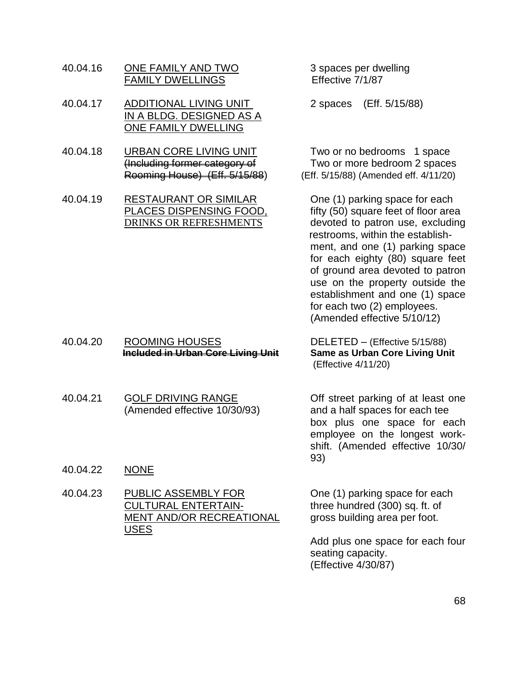- 40.04.16 ONE FAMILY AND TWO 3 spaces per dwelling FAMILY DWELLINGS Effective 7/1/87
- 40.04.17 ADDITIONAL LIVING UNIT 2 spaces (Eff. 5/15/88) IN A BLDG. DESIGNED AS A ONE FAMILY DWELLING
- 40.04.18 URBAN CORE LIVING UNIT Two or no bedrooms 1 space
- 40.04.19 RESTAURANT OR SIMILAR One (1) parking space for each

 (Including former category of Two or more bedroom 2 spaces Rooming House) (Eff. 5/15/88) (Eff. 5/15/88) (Amended eff. 4/11/20)

PLACES DISPENSING FOOD, fifty (50) square feet of floor area DRINKS OR REFRESHMENTS devoted to patron use, excluding restrooms, within the establishment, and one (1) parking space for each eighty (80) square feet of ground area devoted to patron use on the property outside the establishment and one (1) space for each two (2) employees. (Amended effective 5/10/12)

40.04.20 ROOMING HOUSES DELETED – (Effective 5/15/88) **Included in Urban Core Living Unit Same as Urban Core Living Unit**

(Effective 4/11/20)

40.04.21 GOLF DRIVING RANGE Off street parking of at least one (Amended effective 10/30/93) and a half spaces for each tee box plus one space for each employee on the longest workshift. (Amended effective 10/30/ 93)

40.04.22 NONE

40.04.23 PUBLIC ASSEMBLY FOR One (1) parking space for each<br>CULTURAL ENTERTAIN-<br>three hundred (300) sq. ft. of MENT AND/OR RECREATIONAL gross building area per foot. USES

three hundred  $(300)$  sq. ft. of

Add plus one space for each four seating capacity. (Effective 4/30/87)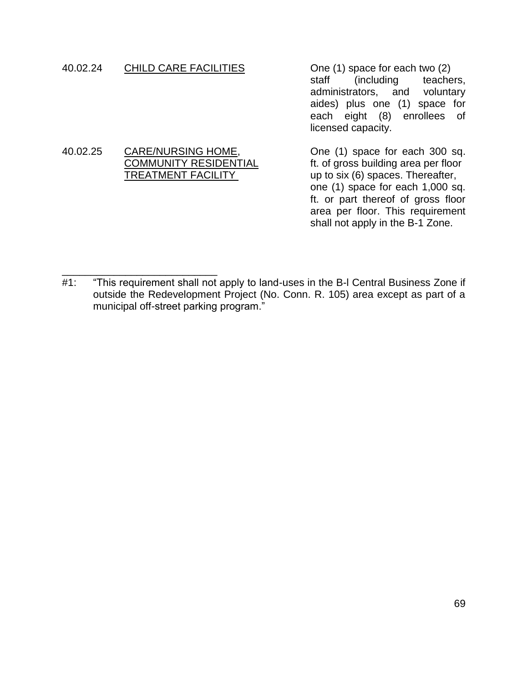## 40.02.24 CHILD CARE FACILITIES One (1) space for each two (2)

staff (including teachers, administrators, and voluntary aides) plus one (1) space for each eight (8) enrollees of licensed capacity.

# 40.02.25 CARE/NURSING HOME, One (1) space for each 300 sq.<br>COMMUNITY RESIDENTIAL ft. of gross building area per floor

ft. of gross building area per floor TREATMENT FACILITYup to six (6) spaces. Thereafter, one (1) space for each 1,000 sq. ft. or part thereof of gross floor area per floor. This requirement shall not apply in the B-1 Zone.

\_\_\_\_\_\_\_\_\_\_\_\_\_\_\_\_\_\_\_\_\_\_\_\_\_\_\_ #1: "This requirement shall not apply to land-uses in the B-I Central Business Zone if outside the Redevelopment Project (No. Conn. R. 105) area except as part of a municipal off-street parking program."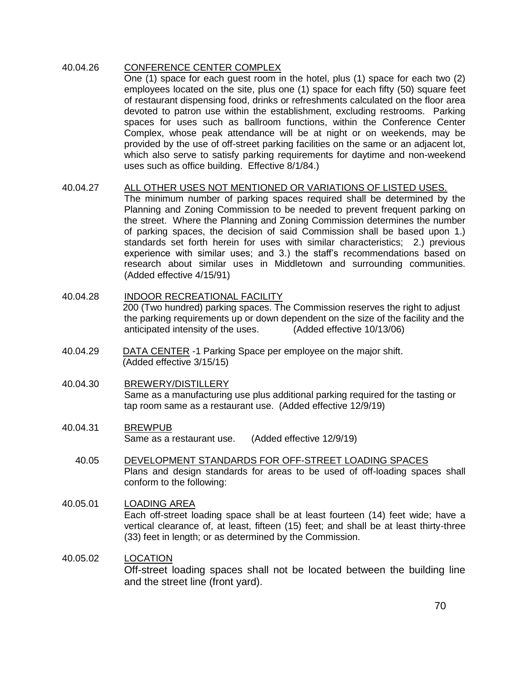## 40.04.26 CONFERENCE CENTER COMPLEX One (1) space for each guest room in the hotel, plus (1) space for each two (2) employees located on the site, plus one (1) space for each fifty (50) square feet of restaurant dispensing food, drinks or refreshments calculated on the floor area devoted to patron use within the establishment, excluding restrooms. Parking spaces for uses such as ballroom functions, within the Conference Center Complex, whose peak attendance will be at night or on weekends, may be provided by the use of off-street parking facilities on the same or an adjacent lot, which also serve to satisfy parking requirements for daytime and non-weekend uses such as office building. Effective 8/1/84.)

## 40.04.27 ALL OTHER USES NOT MENTIONED OR VARIATIONS OF LISTED USES.

The minimum number of parking spaces required shall be determined by the Planning and Zoning Commission to be needed to prevent frequent parking on the street. Where the Planning and Zoning Commission determines the number of parking spaces, the decision of said Commission shall be based upon 1.) standards set forth herein for uses with similar characteristics; 2.) previous experience with similar uses; and 3.) the staff's recommendations based on research about similar uses in Middletown and surrounding communities. (Added effective 4/15/91)

- 40.04.28 INDOOR RECREATIONAL FACILITY 200 (Two hundred) parking spaces. The Commission reserves the right to adjust the parking requirements up or down dependent on the size of the facility and the anticipated intensity of the uses. (Added effective 10/13/06)
- 40.04.29 DATA CENTER -1 Parking Space per employee on the major shift. (Added effective 3/15/15)

## 40.04.30 BREWERY/DISTILLERY Same as a manufacturing use plus additional parking required for the tasting or tap room same as a restaurant use. (Added effective 12/9/19)

## 40.04.31 BREWPUB Same as a restaurant use. (Added effective 12/9/19)

 40.05 DEVELOPMENT STANDARDS FOR OFF-STREET LOADING SPACES Plans and design standards for areas to be used of off-loading spaces shall conform to the following:

## 40.05.01 LOADING AREA

Each off-street loading space shall be at least fourteen (14) feet wide; have a vertical clearance of, at least, fifteen (15) feet; and shall be at least thirty-three (33) feet in length; or as determined by the Commission.

## 40.05.02 LOCATION

Off-street loading spaces shall not be located between the building line and the street line (front yard).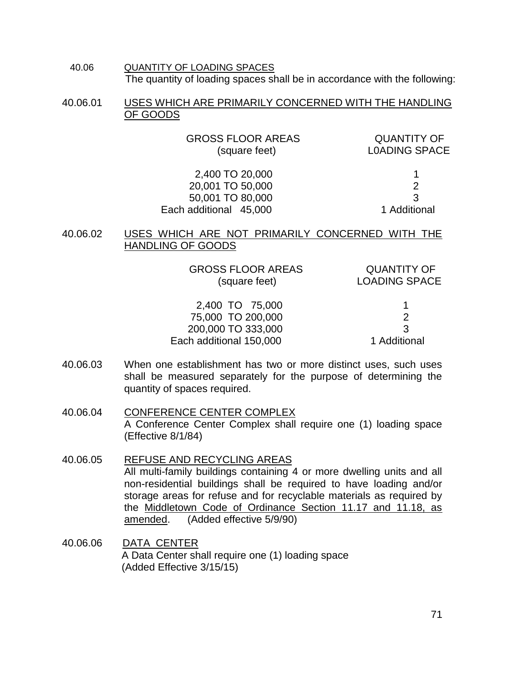40.06 QUANTITY OF LOADING SPACES The quantity of loading spaces shall be in accordance with the following:

40.06.01 USES WHICH ARE PRIMARILY CONCERNED WITH THE HANDLING OF GOODS

GROSS FLOOR AREAS QUANTITY OF (square feet) L0ADING SPACE

 2,400 TO 20,000 1 20,001 TO 50,000 2 50,001 TO 80,000 3 Each additional 45,000 1 Additional

40.06.02 USES WHICH ARE NOT PRIMARILY CONCERNED WITH THE HANDLING OF GOODS

> GROSS FLOOR AREAS QUANTITY OF (square feet) LOADING SPACE

 2,400 TO 75,000 1 75,000 TO 200,000 2 200,000 TO 333,000 3 Each additional 150,000 1 Additional

- 40.06.03 When one establishment has two or more distinct uses, such uses shall be measured separately for the purpose of determining the quantity of spaces required.
- 40.06.04 CONFERENCE CENTER COMPLEX A Conference Center Complex shall require one (1) loading space (Effective 8/1/84)
- 40.06.05 REFUSE AND RECYCLING AREAS All multi-family buildings containing 4 or more dwelling units and all non-residential buildings shall be required to have loading and/or storage areas for refuse and for recyclable materials as required by the Middletown Code of Ordinance Section 11.17 and 11.18, as amended. (Added effective 5/9/90)
- 40.06.06 DATA CENTER A Data Center shall require one (1) loading space (Added Effective 3/15/15)